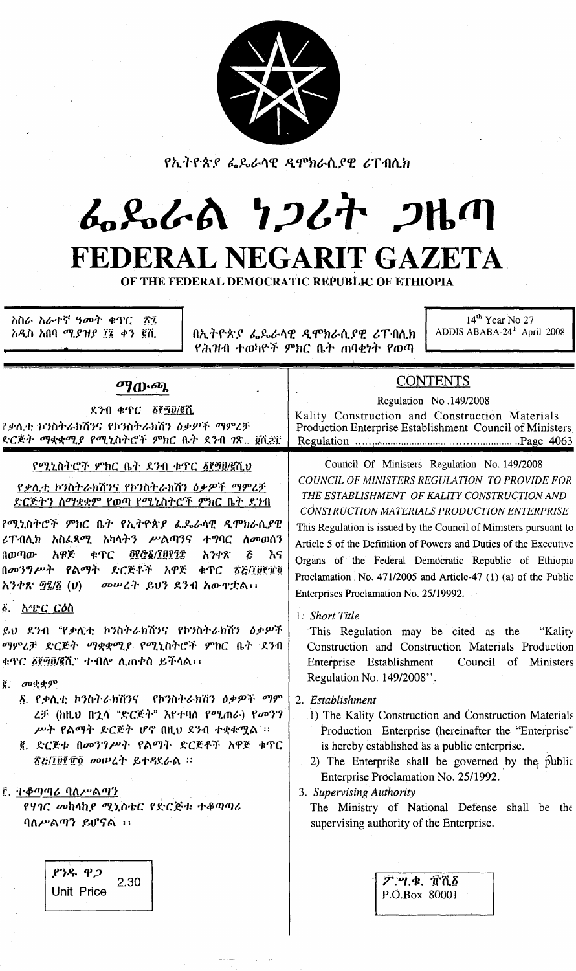

*የኢትዮጵያ ፌዴራ*ሳዊ *ዲ*ምክራሲ*ያ*ዊ ሪፐብሲክ

## んぺんの りつひれ つりの FEDERAL NEGARIT GAZETA

OF THE FEDERAL DEMOCRATIC REPUBLIC OF ETHIOPIA

<u>አስራ አራተኛ ዓመት ቁጥር</u> ÂΊ አዲስ አበባ ሚያዝያ ፲፮ ቀን ፪ሺ

በኢትዮጵያ ፌጼራሳዊ ዲሞክራሲያዊ ሪፐብሊክ የሕዝብ ተወካዮች ምክር ቤት ጠባቂነት የወጣ

14<sup>th</sup> Year No 27 ADDIS ABABA-24<sup>th</sup> April 2008

## *ጣ*ውጫ

ደንብ ቁጥር ፩፻፵፱/፪ሺ ?ቃሲቲ ኮንስትራክሽንና የኮንስትራክሽን ዕቃዎች ማምረቻ ድርጅት ማቋቋሚያ የሚኒስትሮች ምክር ቤት ደንብ ገጽ.. ፬ሺ፷፫

## የሚኒስትሮች ምክር ቤት ደንብ ቁጥር ፩፻፵፱/፪ሺህ

<u>የቃሊቲ ኮንስትራክሽንና የኮንስትራክሽን ዕቃዎች ማምረቻ</u> <u>ድርጅትን ስማቋቋም የወጣ የሚኒስትሮች ምክር ቤት ደንብ</u>

የሚኒስትሮች ምክር ቤት የኢትዮጵያ ፌዴራሳዊ ዲሞክራሲያዊ ሪፐብሊክ አስፌጻሚ አካላትን ሥልጣንና ተግባር ለመወሰን በወጣው አዋጅ ቀዋር 08G6/I0815 አንቀጽ  $\tilde{c}$ እና በመንግሥት የልማት ድርጅቶች አዋጅ ቁጥር ፳፩/፲፱፻፹፬ መሠረት ይህን ደንብ አውዋቷል፡፡ አንቀጽ ፵፯/፩ (ሀ)

፩. አ*ጭር ርዕ*ስ

ይህ ደንብ "የቃሊቲ ኮንስትራክሽንና የኮንስትራክሽን ዕቃዎች ማምረቻ ድርጅት ማቋቋሚያ የሚኒስትሮች ምክር ቤት ደንብ ቁጥር ፩፻፵፱/፪ሺ" ተብሎ ሲጠቀስ ይችሳል፡፡

 $\ddot{\mathbf{e}}$  *መ*ቋቋም

- ፩. የቃሊቲ ኮንስትራክሽንና የኮንስትራክሽን ዕቃዎች ማም ሬቻ (ከዚህ በኋላ "ድርጅት" እየተባሰ የሚጠራ) የመንግ ሥት የልማት ድርጅት ሆኖ በዚህ ደንብ ተቋቁሟል ፡፡
- ፪. ድርጅቱ በመንግሥት የልማት ድርጅቶች አዋጅ ቁጥር ኛሯ/፲፱፻፹፬ መሠረት ይተዳደራል ፡፡

## <u>ይ ተቆጣጣሪ ባለሥልጣን</u>

የሃገር መከሳከያ ሚኒስቴር የድርጅቱ ተቆጣጣሪ  $90\mu$ ልጣን ይሆናል ::

> ያንዱ ዋጋ 2.30 **Unit Price**

**CONTENTS** Regulation No.149/2008 Kality Construction and Construction Materials Production Enterprise Establishment Council of Ministers .................Page 4063

Council Of Ministers Regulation No. 149/2008 COUNCIL OF MINISTERS REGULATION TO PROVIDE FOR THE ESTABLISHMENT OF KALITY CONSTRUCTION AND CONSTRUCTION MATERIALS PRODUCTION ENTERPRISE This Regulation is issued by the Council of Ministers pursuant to Article 5 of the Definition of Powers and Duties of the Executive Organs of the Federal Democratic Republic of Ethiopia Proclamation No. 471/2005 and Article-47 (1) (a) of the Public Enterprises Proclamation No. 25/19992.

1. Short Title

This Regulation may be cited as the "Kality Construction and Construction Materials Production Enterprise Establishment Council of Ministers Regulation No. 149/2008".

2. Establishment

- 1) The Kality Construction and Construction Materials Production Enterprise (hereinafter the "Enterprise" is hereby established as a public enterprise.
- 2) The Enterprise shall be governed by the public Enterprise Proclamation No. 25/1992.

3. Supervising Authority

The Ministry of National Defense shall be the supervising authority of the Enterprise.

**ፖ.ሣ.ቁ. ፹ሺ፩** P.O.Box 80001